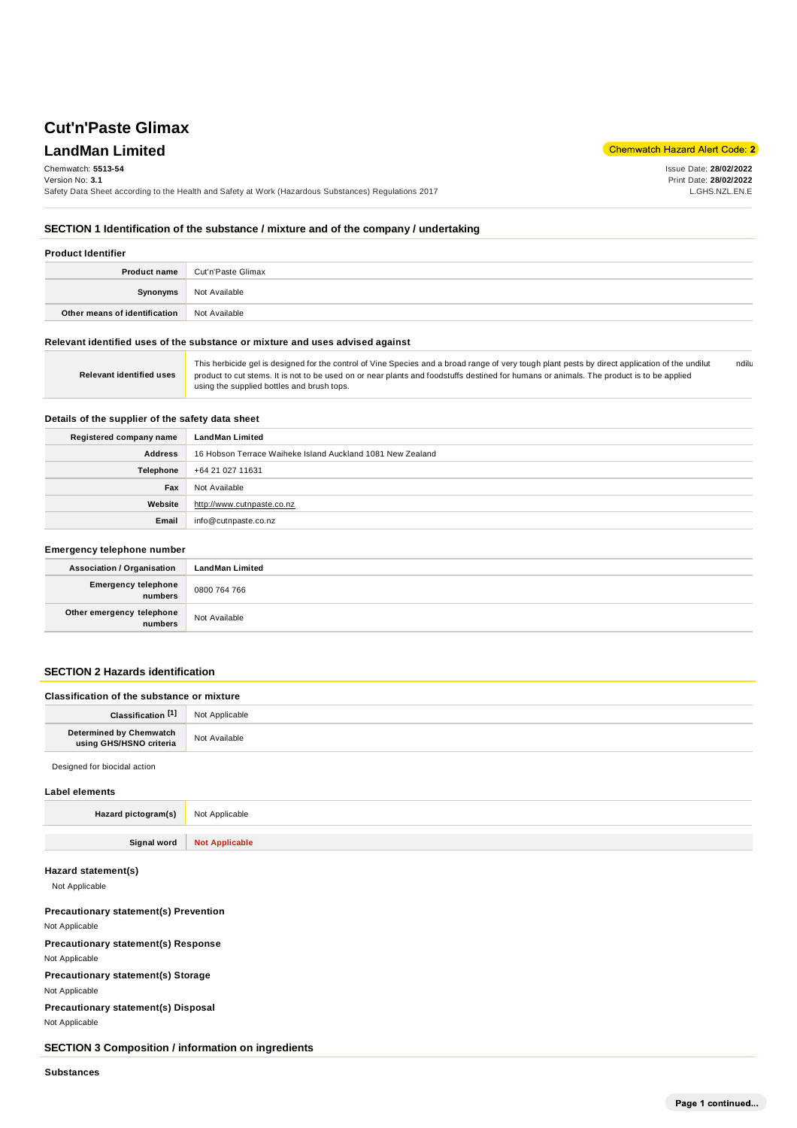# **Cut'n'Paste Glimax**

# **LandMan Limited**

Chemwatch Hazard Alert Code: 2

Issue Date: **28/02/2022** Print Date: **28/02/2022** L.GHS.NZL.EN.E

### Chemwatch: **5513-54**

Version No: **3.1**

Safety Data Sheet according to the Health and Safety at Work (Hazardous Substances) Regulations 2017

**SECTION 1 Identification of the substance / mixture and of the company / undertaking**

| <b>Product Identifier</b>     |                                        |
|-------------------------------|----------------------------------------|
|                               | <b>Product name</b> Cut'n'Paste Glimax |
| Synonyms                      | Not Available                          |
| Other means of identification | Not Available                          |

### **Relevant identified uses of the substance or mixture and uses advised against**

| <b>Relevant identified uses</b> | This herbicide gel is designed for the control of Vine Species and a broad range of very tough plant pests by direct application of the undilut<br>product to cut stems. It is not to be used on or near plants and foodstuffs destined for humans or animals. The product is to be applied<br>using the supplied bottles and brush tops. | ndilu |
|---------------------------------|-------------------------------------------------------------------------------------------------------------------------------------------------------------------------------------------------------------------------------------------------------------------------------------------------------------------------------------------|-------|
|---------------------------------|-------------------------------------------------------------------------------------------------------------------------------------------------------------------------------------------------------------------------------------------------------------------------------------------------------------------------------------------|-------|

### **Details of the supplier of the safety data sheet**

| Registered company name | LandMan Limited                                            |  |
|-------------------------|------------------------------------------------------------|--|
| <b>Address</b>          | 16 Hobson Terrace Waiheke Island Auckland 1081 New Zealand |  |
| Telephone               | +64 21 027 11631                                           |  |
| Fax                     | Not Available                                              |  |
| Website                 | http://www.cutnpaste.co.nz                                 |  |
| Email                   | info@cutnpaste.co.nz                                       |  |

# **Emergency telephone number Association / Organisation LandMan Limited Emergency telephone numbers** 0800 764 766 **Other emergency telephone numbers** Not Available

### **SECTION 2 Hazards identification**

| Classification of the substance or mixture         |                |
|----------------------------------------------------|----------------|
| Classification <sup>[1]</sup>                      | Not Applicable |
| Determined by Chemwatch<br>using GHS/HSNO criteria | Not Available  |
| Designed for biocidal action                       |                |

## **Label elements**

| LANGI GIGIHGIHƏ     |                              |
|---------------------|------------------------------|
| Hazard pictogram(s) | Not Applicable               |
|                     |                              |
|                     | Signal word   Not Applicable |

### **Hazard statement(s)**

Not Applicable

### **Precautionary statement(s) Prevention**

Not Applicable

**Precautionary statement(s) Response** Not Applicable

**Precautionary statement(s) Storage**

Not Applicable

**Precautionary statement(s) Disposal** Not Applicable

**SECTION 3 Composition / information on ingredients**

**Substances**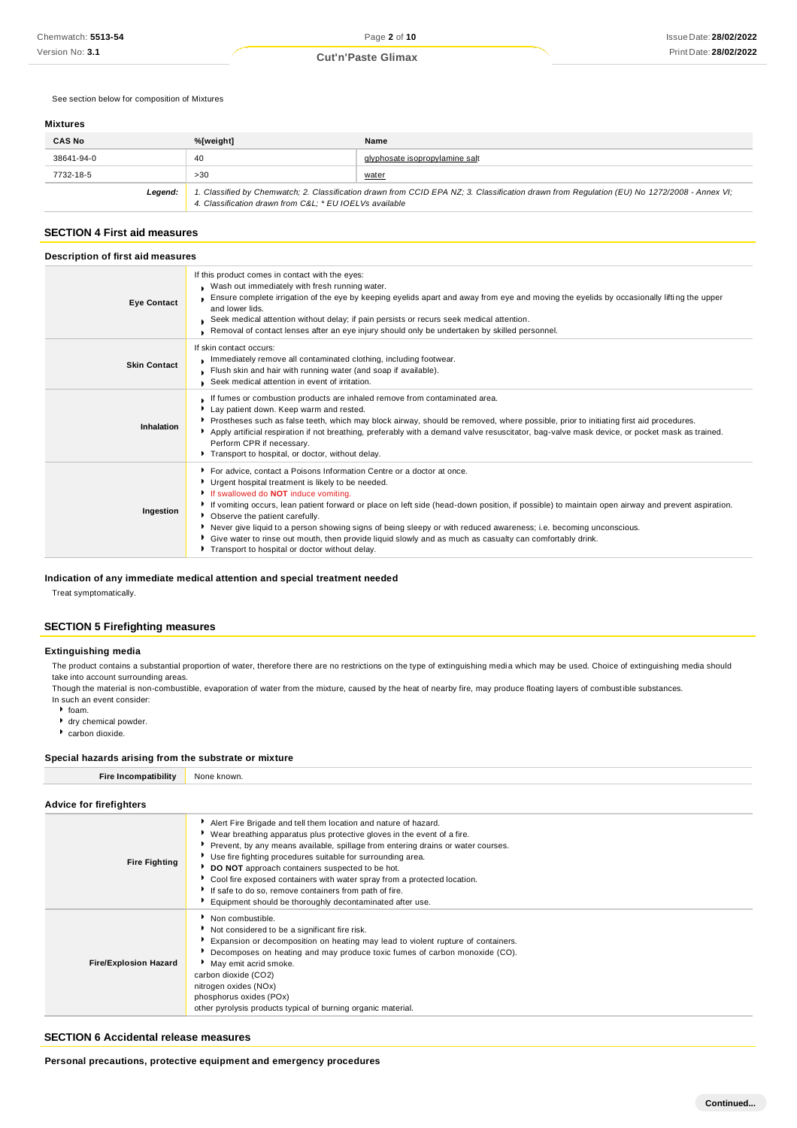See section below for composition of Mixtures

### **Mixtures**

| <b>CAS No</b> | %[weight]                                                                                                                                                                                             | Name                           |
|---------------|-------------------------------------------------------------------------------------------------------------------------------------------------------------------------------------------------------|--------------------------------|
| 38641-94-0    | 40                                                                                                                                                                                                    | glyphosate isopropylamine salt |
| 7732-18-5     | >30                                                                                                                                                                                                   | <u>water</u>                   |
| Legend:       | 1. Classified by Chemwatch; 2. Classification drawn from CCID EPA NZ; 3. Classification drawn from Regulation (EU) No 1272/2008 - Annex VI;<br>4. Classification drawn from C&L * EU IOELVs available |                                |

### **SECTION 4 First aid measures**

| Description of first aid measures |                                                                                                                                                                                                                                                                                                                                                                                                                                                                                                                                                                                                                                                          |  |
|-----------------------------------|----------------------------------------------------------------------------------------------------------------------------------------------------------------------------------------------------------------------------------------------------------------------------------------------------------------------------------------------------------------------------------------------------------------------------------------------------------------------------------------------------------------------------------------------------------------------------------------------------------------------------------------------------------|--|
| <b>Eye Contact</b>                | If this product comes in contact with the eyes:<br>Wash out immediately with fresh running water.<br>Ensure complete irrigation of the eye by keeping eyelids apart and away from eye and moving the eyelids by occasionally lifting the upper<br>and lower lids.<br>Seek medical attention without delay; if pain persists or recurs seek medical attention.<br>Removal of contact lenses after an eye injury should only be undertaken by skilled personnel.                                                                                                                                                                                           |  |
| <b>Skin Contact</b>               | If skin contact occurs:<br>Immediately remove all contaminated clothing, including footwear.<br>Flush skin and hair with running water (and soap if available).<br>Seek medical attention in event of irritation.                                                                                                                                                                                                                                                                                                                                                                                                                                        |  |
| Inhalation                        | If fumes or combustion products are inhaled remove from contaminated area.<br>Lay patient down. Keep warm and rested.<br>▶ Prostheses such as false teeth, which may block airway, should be removed, where possible, prior to initiating first aid procedures.<br>Apply artificial respiration if not breathing, preferably with a demand valve resuscitator, bag-valve mask device, or pocket mask as trained.<br>Perform CPR if necessary.<br>Transport to hospital, or doctor, without delay.                                                                                                                                                        |  |
| Ingestion                         | ▶ For advice, contact a Poisons Information Centre or a doctor at once.<br>Urgent hospital treatment is likely to be needed.<br>If swallowed do <b>NOT</b> induce vomiting.<br>▶ If vomiting occurs, lean patient forward or place on left side (head-down position, if possible) to maintain open airway and prevent aspiration.<br>• Observe the patient carefully.<br>Never give liquid to a person showing signs of being sleepy or with reduced awareness; i.e. becoming unconscious.<br>Give water to rinse out mouth, then provide liquid slowly and as much as casualty can comfortably drink.<br>Transport to hospital or doctor without delay. |  |

### **Indication of any immediate medical attention and special treatment needed**

Treat symptomatically.

### **SECTION 5 Firefighting measures**

### **Extinguishing media**

The product contains a substantial proportion of water, therefore there are no restrictions on the type of extinguishing media which may be used. Choice of extinguishing media should take into account surrounding areas.

Though the material is non-combustible, evaporation of water from the mixture, caused by the heat of nearby fire, may produce floating layers of combust ible substances. In such an event consider:

 $•$  foam.

- dry chemical powder.
- carbon dioxide.

#### **Special hazards arising from the substrate or mixture**

| <b>Fire Incompatibility</b> | None known.                                                                                                                                                                                                                                                                                                                                                                                                                                                                                |  |  |
|-----------------------------|--------------------------------------------------------------------------------------------------------------------------------------------------------------------------------------------------------------------------------------------------------------------------------------------------------------------------------------------------------------------------------------------------------------------------------------------------------------------------------------------|--|--|
| Advice for firefighters     |                                                                                                                                                                                                                                                                                                                                                                                                                                                                                            |  |  |
| <b>Fire Fighting</b>        | Alert Fire Brigade and tell them location and nature of hazard.<br>▶ Wear breathing apparatus plus protective gloves in the event of a fire.<br>Prevent, by any means available, spillage from entering drains or water courses.<br>Use fire fighting procedures suitable for surrounding area.<br>DO NOT approach containers suspected to be hot.<br>• Cool fire exposed containers with water spray from a protected location.<br>If safe to do so, remove containers from path of fire. |  |  |

|                              | Equipment should be thoroughly decontaminated after use.                                                                                                                                                                                                                                                                                                                                                  |  |
|------------------------------|-----------------------------------------------------------------------------------------------------------------------------------------------------------------------------------------------------------------------------------------------------------------------------------------------------------------------------------------------------------------------------------------------------------|--|
| <b>Fire/Explosion Hazard</b> | Non combustible.<br>Not considered to be a significant fire risk.<br>Expansion or decomposition on heating may lead to violent rupture of containers.<br>Decomposes on heating and may produce toxic fumes of carbon monoxide (CO).<br>May emit acrid smoke.<br>carbon dioxide (CO2)<br>nitrogen oxides (NOx)<br>phosphorus oxides (POx)<br>other pyrolysis products typical of burning organic material. |  |

### **SECTION 6 Accidental release measures**

**Personal precautions, protective equipment and emergency procedures**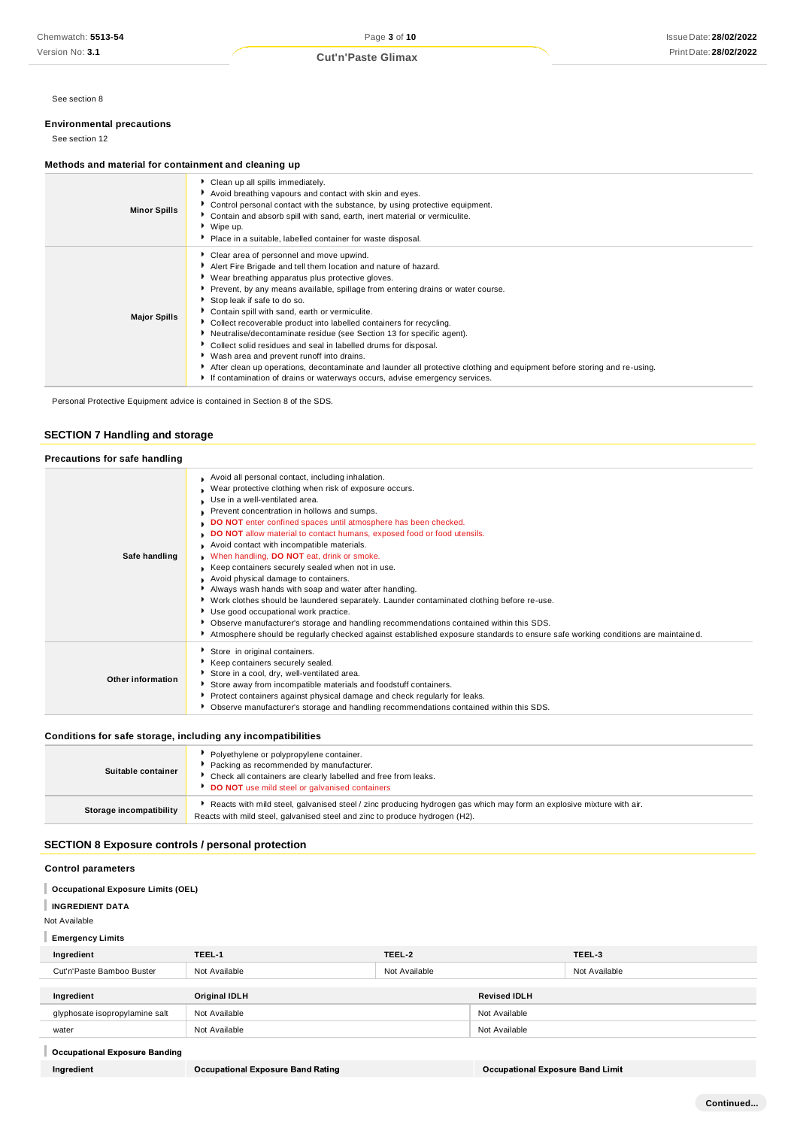See section 8

### **Environmental precautions**

See section 12

### **Methods and material for containment and cleaning up**

| ▶ Clean up all spills immediately.<br>Avoid breathing vapours and contact with skin and eyes.<br>• Control personal contact with the substance, by using protective equipment.<br><b>Minor Spills</b><br>• Contain and absorb spill with sand, earth, inert material or vermiculite.<br>▶ Wipe up.<br>Place in a suitable, labelled container for waste disposal.<br>Clear area of personnel and move upwind.<br>Alert Fire Brigade and tell them location and nature of hazard.<br>▶ Wear breathing apparatus plus protective gloves.<br>Prevent, by any means available, spillage from entering drains or water course.<br>Stop leak if safe to do so.<br>• Contain spill with sand, earth or vermiculite.<br><b>Major Spills</b><br>Collect recoverable product into labelled containers for recycling.<br>Neutralise/decontaminate residue (see Section 13 for specific agent).<br>Collect solid residues and seal in labelled drums for disposal.<br>▶ Wash area and prevent runoff into drains.<br>After clean up operations, decontaminate and launder all protective clothing and equipment before storing and re-using.<br>If contamination of drains or waterways occurs, advise emergency services. |  |
|----------------------------------------------------------------------------------------------------------------------------------------------------------------------------------------------------------------------------------------------------------------------------------------------------------------------------------------------------------------------------------------------------------------------------------------------------------------------------------------------------------------------------------------------------------------------------------------------------------------------------------------------------------------------------------------------------------------------------------------------------------------------------------------------------------------------------------------------------------------------------------------------------------------------------------------------------------------------------------------------------------------------------------------------------------------------------------------------------------------------------------------------------------------------------------------------------------------|--|
|                                                                                                                                                                                                                                                                                                                                                                                                                                                                                                                                                                                                                                                                                                                                                                                                                                                                                                                                                                                                                                                                                                                                                                                                                |  |
|                                                                                                                                                                                                                                                                                                                                                                                                                                                                                                                                                                                                                                                                                                                                                                                                                                                                                                                                                                                                                                                                                                                                                                                                                |  |

Personal Protective Equipment advice is contained in Section 8 of the SDS.

# **SECTION 7 Handling and storage**

| Precautions for safe handling |                                                                                                                                                                                                                                                                                                                                                                                                                                                                                                                                                                                                                                                                                                                                                                                                                                                                                                                                                                     |
|-------------------------------|---------------------------------------------------------------------------------------------------------------------------------------------------------------------------------------------------------------------------------------------------------------------------------------------------------------------------------------------------------------------------------------------------------------------------------------------------------------------------------------------------------------------------------------------------------------------------------------------------------------------------------------------------------------------------------------------------------------------------------------------------------------------------------------------------------------------------------------------------------------------------------------------------------------------------------------------------------------------|
| Safe handling                 | Avoid all personal contact, including inhalation.<br>Wear protective clothing when risk of exposure occurs.<br>Use in a well-ventilated area.<br>Prevent concentration in hollows and sumps.<br>DO NOT enter confined spaces until atmosphere has been checked.<br>DO NOT allow material to contact humans, exposed food or food utensils.<br>Avoid contact with incompatible materials.<br>. When handling, DO NOT eat, drink or smoke.<br>Keep containers securely sealed when not in use.<br>Avoid physical damage to containers.<br>Always wash hands with soap and water after handling.<br>▶ Work clothes should be laundered separately. Launder contaminated clothing before re-use.<br>Use good occupational work practice.<br>▶ Observe manufacturer's storage and handling recommendations contained within this SDS.<br>Atmosphere should be regularly checked against established exposure standards to ensure safe working conditions are maintained. |
| Other information             | Store in original containers.<br>Keep containers securely sealed.<br>Store in a cool, dry, well-ventilated area.<br>Store away from incompatible materials and foodstuff containers.<br>Protect containers against physical damage and check regularly for leaks.<br>• Observe manufacturer's storage and handling recommendations contained within this SDS.                                                                                                                                                                                                                                                                                                                                                                                                                                                                                                                                                                                                       |

### **Conditions for safe storage, including any incompatibilities**

| Suitable container      | Polyethylene or polypropylene container.<br>Packing as recommended by manufacturer.<br>• Check all containers are clearly labelled and free from leaks.<br>DO NOT use mild steel or galvanised containers |
|-------------------------|-----------------------------------------------------------------------------------------------------------------------------------------------------------------------------------------------------------|
| Storage incompatibility | Reacts with mild steel, galvanised steel / zinc producing hydrogen gas which may form an explosive mixture with air.<br>Reacts with mild steel, galvanised steel and zinc to produce hydrogen (H2).       |

# **SECTION 8 Exposure controls / personal protection**

# **Control parameters**

- **Occupational Exposure Limits (OEL)**
- **INGREDIENT DATA**

Not Available

# **Emergency Limits**

| Ingredient                     | TEEL-1        | TEEL-2        |                     | TEEL-3        |
|--------------------------------|---------------|---------------|---------------------|---------------|
| Cut'n'Paste Bamboo Buster      | Not Available | Not Available |                     | Not Available |
|                                |               |               |                     |               |
| Ingredient                     | Original IDLH |               | <b>Revised IDLH</b> |               |
| glyphosate isopropylamine salt | Not Available |               | Not Available       |               |
| water                          | Not Available |               | Not Available       |               |
|                                |               |               |                     |               |

# Occupational Exposure Banding

Ingredient

**Occupational Exposure Band Limit**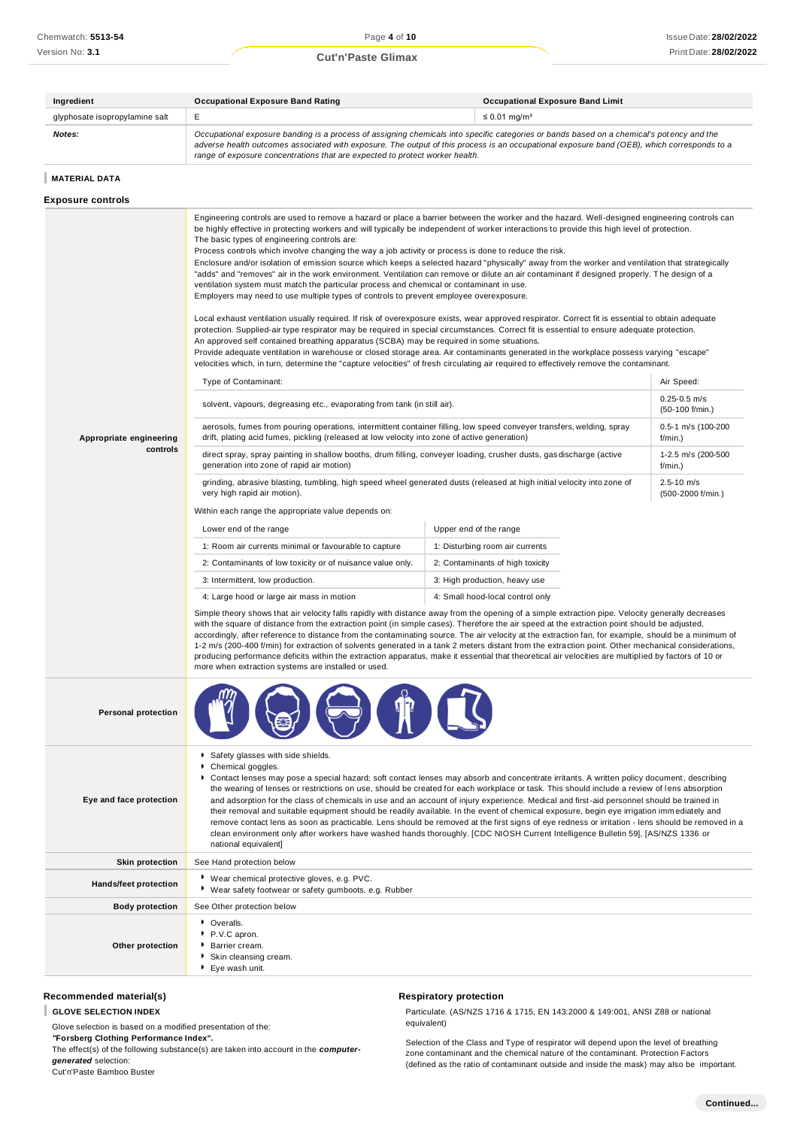# Print Date: **28/02/2022 Cut'n'Paste Glimax**

| Ingredient                     | <b>Occupational Exposure Band Rating</b>                                                                                                                                                                                                                                                                                                                                 | <b>Occupational Exposure Band Limit</b> |
|--------------------------------|--------------------------------------------------------------------------------------------------------------------------------------------------------------------------------------------------------------------------------------------------------------------------------------------------------------------------------------------------------------------------|-----------------------------------------|
| glyphosate isopropylamine salt |                                                                                                                                                                                                                                                                                                                                                                          | $\leq$ 0.01 mg/m <sup>3</sup>           |
| Notes:                         | Occupational exposure banding is a process of assigning chemicals into specific categories or bands based on a chemical's potency and the<br>adverse health outcomes associated with exposure. The output of this process is an occupational exposure band (OEB), which corresponds to a<br>range of exposure concentrations that are expected to protect worker health. |                                         |

# **MATERIAL DATA**

# **Exposure controls**

|                            | Engineering controls are used to remove a hazard or place a barrier between the worker and the hazard. Well-designed engineering controls can<br>be highly effective in protecting workers and will typically be independent of worker interactions to provide this high level of protection.<br>The basic types of engineering controls are:<br>Process controls which involve changing the way a job activity or process is done to reduce the risk.<br>Enclosure and/or isolation of emission source which keeps a selected hazard "physically" away from the worker and ventilation that strategically<br>"adds" and "removes" air in the work environment. Ventilation can remove or dilute an air contaminant if designed properly. The design of a<br>ventilation system must match the particular process and chemical or contaminant in use.<br>Employers may need to use multiple types of controls to prevent employee overexposure.<br>Local exhaust ventilation usually required. If risk of overexposure exists, wear approved respirator. Correct fit is essential to obtain adequate<br>protection. Supplied-air type respirator may be required in special circumstances. Correct fit is essential to ensure adequate protection.<br>An approved self contained breathing apparatus (SCBA) may be required in some situations.<br>Provide adequate ventilation in warehouse or closed storage area. Air contaminants generated in the workplace possess varying "escape"<br>velocities which, in turn, determine the "capture velocities" of fresh circulating air required to effectively remove the contaminant. |                        |                                     |  |
|----------------------------|-------------------------------------------------------------------------------------------------------------------------------------------------------------------------------------------------------------------------------------------------------------------------------------------------------------------------------------------------------------------------------------------------------------------------------------------------------------------------------------------------------------------------------------------------------------------------------------------------------------------------------------------------------------------------------------------------------------------------------------------------------------------------------------------------------------------------------------------------------------------------------------------------------------------------------------------------------------------------------------------------------------------------------------------------------------------------------------------------------------------------------------------------------------------------------------------------------------------------------------------------------------------------------------------------------------------------------------------------------------------------------------------------------------------------------------------------------------------------------------------------------------------------------------------------------------------------------------------------------------------------------------|------------------------|-------------------------------------|--|
|                            | Type of Contaminant:                                                                                                                                                                                                                                                                                                                                                                                                                                                                                                                                                                                                                                                                                                                                                                                                                                                                                                                                                                                                                                                                                                                                                                                                                                                                                                                                                                                                                                                                                                                                                                                                                |                        | Air Speed:                          |  |
|                            | solvent, vapours, degreasing etc., evaporating from tank (in still air).                                                                                                                                                                                                                                                                                                                                                                                                                                                                                                                                                                                                                                                                                                                                                                                                                                                                                                                                                                                                                                                                                                                                                                                                                                                                                                                                                                                                                                                                                                                                                            |                        | $0.25 - 0.5$ m/s<br>(50-100 f/min.) |  |
| Appropriate engineering    | aerosols, fumes from pouring operations, intermittent container filling, low speed conveyer transfers, welding, spray<br>drift, plating acid fumes, pickling (released at low velocity into zone of active generation)                                                                                                                                                                                                                                                                                                                                                                                                                                                                                                                                                                                                                                                                                                                                                                                                                                                                                                                                                                                                                                                                                                                                                                                                                                                                                                                                                                                                              |                        | 0.5-1 m/s (100-200<br>f/min.)       |  |
| controls                   | direct spray, spray painting in shallow booths, drum filling, conveyer loading, crusher dusts, gas discharge (active<br>generation into zone of rapid air motion)                                                                                                                                                                                                                                                                                                                                                                                                                                                                                                                                                                                                                                                                                                                                                                                                                                                                                                                                                                                                                                                                                                                                                                                                                                                                                                                                                                                                                                                                   |                        | 1-2.5 m/s (200-500<br>f/min.)       |  |
|                            | grinding, abrasive blasting, tumbling, high speed wheel generated dusts (released at high initial velocity into zone of<br>very high rapid air motion).                                                                                                                                                                                                                                                                                                                                                                                                                                                                                                                                                                                                                                                                                                                                                                                                                                                                                                                                                                                                                                                                                                                                                                                                                                                                                                                                                                                                                                                                             |                        | $2.5 - 10$ m/s<br>(500-2000 f/min.) |  |
|                            | Within each range the appropriate value depends on:                                                                                                                                                                                                                                                                                                                                                                                                                                                                                                                                                                                                                                                                                                                                                                                                                                                                                                                                                                                                                                                                                                                                                                                                                                                                                                                                                                                                                                                                                                                                                                                 |                        |                                     |  |
|                            | Lower end of the range                                                                                                                                                                                                                                                                                                                                                                                                                                                                                                                                                                                                                                                                                                                                                                                                                                                                                                                                                                                                                                                                                                                                                                                                                                                                                                                                                                                                                                                                                                                                                                                                              | Upper end of the range |                                     |  |
|                            | 1: Room air currents minimal or favourable to capture<br>1: Disturbing room air currents                                                                                                                                                                                                                                                                                                                                                                                                                                                                                                                                                                                                                                                                                                                                                                                                                                                                                                                                                                                                                                                                                                                                                                                                                                                                                                                                                                                                                                                                                                                                            |                        |                                     |  |
|                            | 2: Contaminants of low toxicity or of nuisance value only.<br>2: Contaminants of high toxicity                                                                                                                                                                                                                                                                                                                                                                                                                                                                                                                                                                                                                                                                                                                                                                                                                                                                                                                                                                                                                                                                                                                                                                                                                                                                                                                                                                                                                                                                                                                                      |                        |                                     |  |
|                            | 3: Intermittent, low production.<br>3: High production, heavy use                                                                                                                                                                                                                                                                                                                                                                                                                                                                                                                                                                                                                                                                                                                                                                                                                                                                                                                                                                                                                                                                                                                                                                                                                                                                                                                                                                                                                                                                                                                                                                   |                        |                                     |  |
|                            | 4: Large hood or large air mass in motion<br>4: Small hood-local control only                                                                                                                                                                                                                                                                                                                                                                                                                                                                                                                                                                                                                                                                                                                                                                                                                                                                                                                                                                                                                                                                                                                                                                                                                                                                                                                                                                                                                                                                                                                                                       |                        |                                     |  |
|                            | Simple theory shows that air velocity falls rapidly with distance away from the opening of a simple extraction pipe. Velocity generally decreases<br>with the square of distance from the extraction point (in simple cases). Therefore the air speed at the extraction point should be adjusted,<br>accordingly, after reference to distance from the contaminating source. The air velocity at the extraction fan, for example, should be a minimum of<br>1-2 m/s (200-400 f/min) for extraction of solvents generated in a tank 2 meters distant from the extraction point. Other mechanical considerations,<br>producing performance deficits within the extraction apparatus, make it essential that theoretical air velocities are multiplied by factors of 10 or<br>more when extraction systems are installed or used.                                                                                                                                                                                                                                                                                                                                                                                                                                                                                                                                                                                                                                                                                                                                                                                                      |                        |                                     |  |
| <b>Personal protection</b> |                                                                                                                                                                                                                                                                                                                                                                                                                                                                                                                                                                                                                                                                                                                                                                                                                                                                                                                                                                                                                                                                                                                                                                                                                                                                                                                                                                                                                                                                                                                                                                                                                                     |                        |                                     |  |
| Eye and face protection    | Safety glasses with side shields.<br>Chemical goggles.<br>▶ Contact lenses may pose a special hazard; soft contact lenses may absorb and concentrate irritants. A written policy document, describing<br>the wearing of lenses or restrictions on use, should be created for each workplace or task. This should include a review of lens absorption<br>and adsorption for the class of chemicals in use and an account of injury experience. Medical and first-aid personnel should be trained in<br>their removal and suitable equipment should be readily available. In the event of chemical exposure, begin eye irrigation immediately and<br>remove contact lens as soon as practicable. Lens should be removed at the first signs of eye redness or irritation - lens should be removed in a<br>clean environment only after workers have washed hands thoroughly. [CDC NIOSH Current Intelligence Bulletin 59], [AS/NZS 1336 or<br>national equivalent]                                                                                                                                                                                                                                                                                                                                                                                                                                                                                                                                                                                                                                                                     |                        |                                     |  |
| <b>Skin protection</b>     | See Hand protection below                                                                                                                                                                                                                                                                                                                                                                                                                                                                                                                                                                                                                                                                                                                                                                                                                                                                                                                                                                                                                                                                                                                                                                                                                                                                                                                                                                                                                                                                                                                                                                                                           |                        |                                     |  |
| Hands/feet protection      | ▶ Wear chemical protective gloves, e.g. PVC.<br>* Wear safety footwear or safety gumboots, e.g. Rubber                                                                                                                                                                                                                                                                                                                                                                                                                                                                                                                                                                                                                                                                                                                                                                                                                                                                                                                                                                                                                                                                                                                                                                                                                                                                                                                                                                                                                                                                                                                              |                        |                                     |  |
| <b>Body protection</b>     | See Other protection below                                                                                                                                                                                                                                                                                                                                                                                                                                                                                                                                                                                                                                                                                                                                                                                                                                                                                                                                                                                                                                                                                                                                                                                                                                                                                                                                                                                                                                                                                                                                                                                                          |                        |                                     |  |
| Other protection           | • Overalls.<br>P.V.C apron.<br>Barrier cream.<br>Skin cleansing cream.<br>Eye wash unit.                                                                                                                                                                                                                                                                                                                                                                                                                                                                                                                                                                                                                                                                                                                                                                                                                                                                                                                                                                                                                                                                                                                                                                                                                                                                                                                                                                                                                                                                                                                                            |                        |                                     |  |

# **Recommended material(s)**

**GLOVE SELECTION INDEX**

Glove selection is based on a modified presentation of the: *"***Forsberg Clothing Performance Index".**

The effect(s) of the following substance(s) are taken into account in the *computergenerated* selection:

Cut'n'Paste Bamboo Buster

## **Respiratory protection**

Particulate. (AS/NZS 1716 & 1715, EN 143:2000 & 149:001, ANSI Z88 or national equivalent)

Selection of the Class and Type of respirator will depend upon the level of breathing zone contaminant and the chemical nature of the contaminant. Protection Factors (defined as the ratio of contaminant outside and inside the mask) may also be important.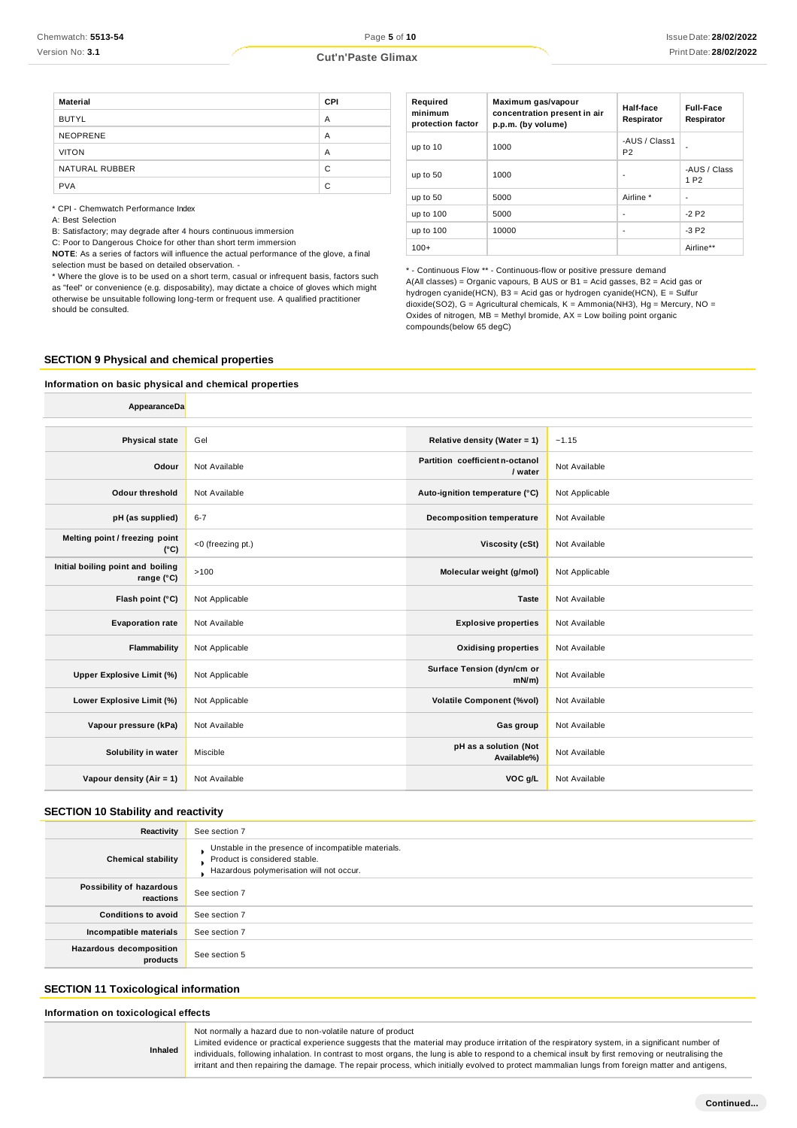| <b>Cut'n'Paste Glimax</b> |  |
|---------------------------|--|
|---------------------------|--|

| <b>Material</b> | CPI |
|-----------------|-----|
| <b>BUTYL</b>    | A   |
| <b>NEOPRENE</b> | A   |
| <b>VITON</b>    | A   |
| NATURAL RUBBER  | C   |
| <b>PVA</b>      | C   |

\* CPI - Chemwatch Performance Index

A: Best Selection

B: Satisfactory; may degrade after 4 hours continuous immersion

C: Poor to Dangerous Choice for other than short term immersion

**NOTE**: As a series of factors will influence the actual performance of the glove, a final selection must be based on detailed observation. -

\* Where the glove is to be used on a short term, casual or infrequent basis, factors such as "feel" or convenience (e.g. disposability), may dictate a choice of gloves which might otherwise be unsuitable following long-term or frequent use. A qualified practitioner should be consulted.

| Required<br>minimum<br>protection factor | Maximum gas/vapour<br>concentration present in air<br>p.p.m. (by volume) | Half-face<br>Respirator         | <b>Full-Face</b><br>Respirator   |
|------------------------------------------|--------------------------------------------------------------------------|---------------------------------|----------------------------------|
| up to 10                                 | 1000                                                                     | -AUS / Class1<br>P <sub>2</sub> |                                  |
| up to 50                                 | 1000                                                                     | ٠                               | -AUS / Class<br>1 P <sub>2</sub> |
| up to 50                                 | 5000                                                                     | Airline *                       | ٠                                |
| up to 100                                | 5000                                                                     | -                               | $-2P2$                           |
| up to 100                                | 10000                                                                    | -                               | $-3P2$                           |
| $100+$                                   |                                                                          |                                 | Airline**                        |

- Continuous Flow \*\* - Continuous-flow or positive pressure demand A(All classes) = Organic vapours, B AUS or B1 = Acid gasses, B2 = Acid gas or hydrogen cyanide(HCN), B3 = Acid gas or hydrogen cyanide(HCN), E = Sulfur dioxide(SO2), G = Agricultural chemicals, K = Ammonia(NH3), Hg = Mercury, NO = Oxides of nitrogen,  $MB =$  Methyl bromide,  $AX =$  Low boiling point organic compounds(below 65 degC)

### **SECTION 9 Physical and chemical properties**

## **Information on basic physical and chemical properties**

| AppearanceDa                                             |                   |                                            |                |
|----------------------------------------------------------|-------------------|--------------------------------------------|----------------|
|                                                          |                   |                                            |                |
| <b>Physical state</b>                                    | Gel               | Relative density (Water = 1)               | ~1.15          |
| Odour                                                    | Not Available     | Partition coefficient n-octanol<br>/ water | Not Available  |
| <b>Odour threshold</b>                                   | Not Available     | Auto-ignition temperature (°C)             | Not Applicable |
| pH (as supplied)                                         | $6 - 7$           | <b>Decomposition temperature</b>           | Not Available  |
| Melting point / freezing point<br>$(^{\circ}C)$          | <0 (freezing pt.) | Viscosity (cSt)                            | Not Available  |
| Initial boiling point and boiling<br>range $(^{\circ}C)$ | >100              | Molecular weight (g/mol)                   | Not Applicable |
| Flash point (°C)                                         | Not Applicable    | <b>Taste</b>                               | Not Available  |
| <b>Evaporation rate</b>                                  | Not Available     | <b>Explosive properties</b>                | Not Available  |
| Flammability                                             | Not Applicable    | <b>Oxidising properties</b>                | Not Available  |
| <b>Upper Explosive Limit (%)</b>                         | Not Applicable    | Surface Tension (dyn/cm or<br>$mN/m$ )     | Not Available  |
| Lower Explosive Limit (%)                                | Not Applicable    | <b>Volatile Component (%vol)</b>           | Not Available  |
| Vapour pressure (kPa)                                    | Not Available     | Gas group                                  | Not Available  |
| Solubility in water                                      | Miscible          | pH as a solution (Not<br>Available%)       | Not Available  |
| Vapour density (Air = 1)                                 | Not Available     | VOC g/L                                    | Not Available  |

### **SECTION 10 Stability and reactivity**

| Reactivity                                 | See section 7                                                                                                                    |
|--------------------------------------------|----------------------------------------------------------------------------------------------------------------------------------|
| <b>Chemical stability</b>                  | Unstable in the presence of incompatible materials.<br>Product is considered stable.<br>Hazardous polymerisation will not occur. |
| Possibility of hazardous<br>reactions      | See section 7                                                                                                                    |
| <b>Conditions to avoid</b>                 | See section 7                                                                                                                    |
| Incompatible materials                     | See section 7                                                                                                                    |
| <b>Hazardous decomposition</b><br>products | See section 5                                                                                                                    |

# **SECTION 11 Toxicological information**

**Inhaled**

**Information on toxicological effects**

Not normally a hazard due to non-volatile nature of product

Limited evidence or practical experience suggests that the material may produce irritation of the respiratory system, in a significant number of individuals, following inhalation. In contrast to most organs, the lung is able to respond to a chemical insult by first removing or neutralising the irritant and then repairing the damage. The repair process, which initially evolved to protect mammalian lungs from foreign matter and antigens,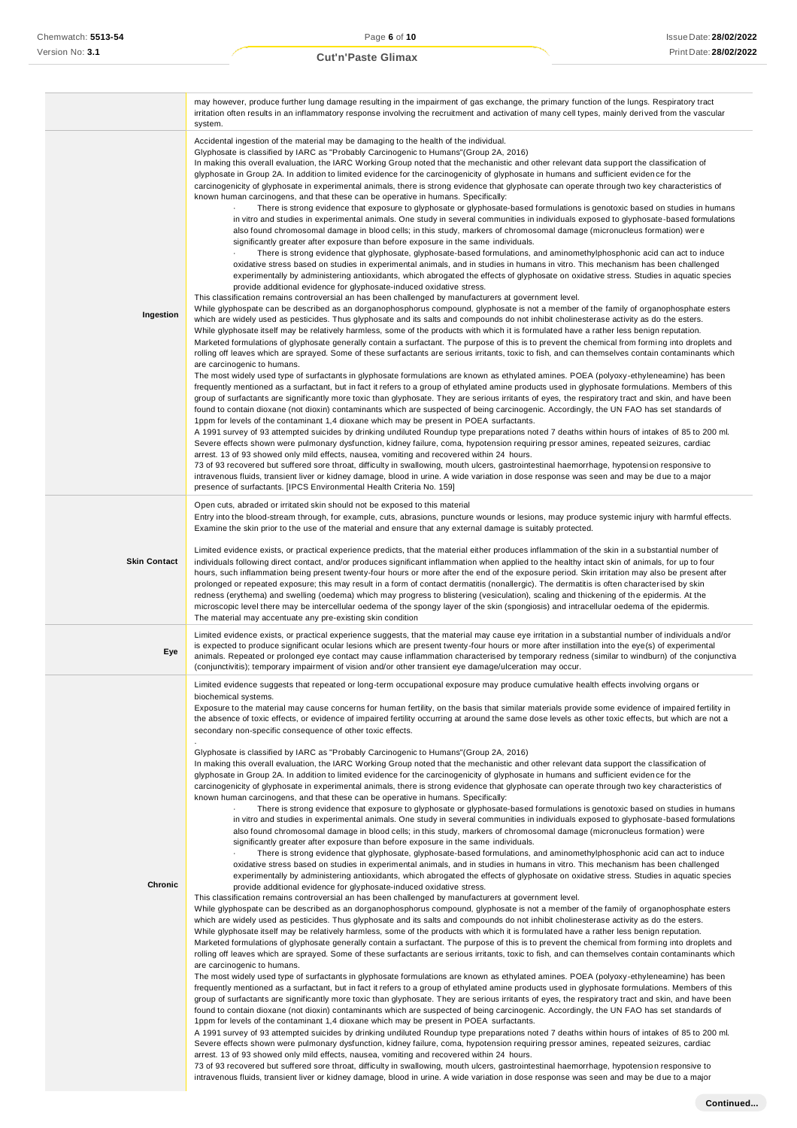|                     | may however, produce further lung damage resulting in the impairment of gas exchange, the primary function of the lungs. Respiratory tract<br>irritation often results in an inflammatory response involving the recruitment and activation of many cell types, mainly derived from the vascular<br>system.                                                                                                                                                                                                                                                                                                                                                                                                                                                                                                                                                                                                                                                                                                                                                                                                                                                                                                                                                                                                                                                                                                                                                                                                                                                                                                                                                                                                                                                                                                                                                                                                                                                                                                                                                                                                                                                                                                                                                                                                                                                                                                                                                                                                                                                                                                                                                                                                                                                                                                                                                                                                                                                                                                                                                                                                                                                                                                                                                                                                                                                                                                                                                                                                                                                                                                                                                                                                                                                                                                                                                                                                                                                                                                                                                                                                                                                                                                                                                                                                                                                                                                                                  |
|---------------------|----------------------------------------------------------------------------------------------------------------------------------------------------------------------------------------------------------------------------------------------------------------------------------------------------------------------------------------------------------------------------------------------------------------------------------------------------------------------------------------------------------------------------------------------------------------------------------------------------------------------------------------------------------------------------------------------------------------------------------------------------------------------------------------------------------------------------------------------------------------------------------------------------------------------------------------------------------------------------------------------------------------------------------------------------------------------------------------------------------------------------------------------------------------------------------------------------------------------------------------------------------------------------------------------------------------------------------------------------------------------------------------------------------------------------------------------------------------------------------------------------------------------------------------------------------------------------------------------------------------------------------------------------------------------------------------------------------------------------------------------------------------------------------------------------------------------------------------------------------------------------------------------------------------------------------------------------------------------------------------------------------------------------------------------------------------------------------------------------------------------------------------------------------------------------------------------------------------------------------------------------------------------------------------------------------------------------------------------------------------------------------------------------------------------------------------------------------------------------------------------------------------------------------------------------------------------------------------------------------------------------------------------------------------------------------------------------------------------------------------------------------------------------------------------------------------------------------------------------------------------------------------------------------------------------------------------------------------------------------------------------------------------------------------------------------------------------------------------------------------------------------------------------------------------------------------------------------------------------------------------------------------------------------------------------------------------------------------------------------------------------------------------------------------------------------------------------------------------------------------------------------------------------------------------------------------------------------------------------------------------------------------------------------------------------------------------------------------------------------------------------------------------------------------------------------------------------------------------------------------------------------------------------------------------------------------------------------------------------------------------------------------------------------------------------------------------------------------------------------------------------------------------------------------------------------------------------------------------------------------------------------------------------------------------------------------------------------------------------------------------------------------------------------------------------------------------|
| Ingestion           | Accidental ingestion of the material may be damaging to the health of the individual.<br>Glyphosate is classified by IARC as "Probably Carcinogenic to Humans" (Group 2A, 2016)<br>In making this overall evaluation, the IARC Working Group noted that the mechanistic and other relevant data support the classification of<br>glyphosate in Group 2A. In addition to limited evidence for the carcinogenicity of glyphosate in humans and sufficient evidence for the<br>carcinogenicity of glyphosate in experimental animals, there is strong evidence that glyphosate can operate through two key characteristics of<br>known human carcinogens, and that these can be operative in humans. Specifically:<br>There is strong evidence that exposure to glyphosate or glyphosate-based formulations is genotoxic based on studies in humans<br>in vitro and studies in experimental animals. One study in several communities in individuals exposed to glyphosate-based formulations<br>also found chromosomal damage in blood cells; in this study, markers of chromosomal damage (micronucleus formation) were<br>significantly greater after exposure than before exposure in the same individuals.<br>There is strong evidence that glyphosate, glyphosate-based formulations, and aminomethylphosphonic acid can act to induce<br>oxidative stress based on studies in experimental animals, and in studies in humans in vitro. This mechanism has been challenged<br>experimentally by administering antioxidants, which abrogated the effects of glyphosate on oxidative stress. Studies in aquatic species<br>provide additional evidence for glyphosate-induced oxidative stress.<br>This classification remains controversial an has been challenged by manufacturers at government level.<br>While glyphospate can be described as an dorganophosphorus compound, glyphosate is not a member of the family of organophosphate esters<br>which are widely used as pesticides. Thus glyphosate and its salts and compounds do not inhibit cholinesterase activity as do the esters.<br>While glyphosate itself may be relatively harmless, some of the products with which it is formulated have a rather less benign reputation.<br>Marketed formulations of glyphosate generally contain a surfactant. The purpose of this is to prevent the chemical from forming into droplets and<br>rolling off leaves which are sprayed. Some of these surfactants are serious irritants, toxic to fish, and can themselves contain contaminants which<br>are carcinogenic to humans.<br>The most widely used type of surfactants in glyphosate formulations are known as ethylated amines. POEA (polyoxy-ethyleneamine) has been<br>frequently mentioned as a surfactant, but in fact it refers to a group of ethylated amine products used in glyphosate formulations. Members of this<br>group of surfactants are significantly more toxic than glyphosate. They are serious irritants of eyes, the respiratory tract and skin, and have been<br>found to contain dioxane (not dioxin) contaminants which are suspected of being carcinogenic. Accordingly, the UN FAO has set standards of<br>1ppm for levels of the contaminant 1,4 dioxane which may be present in POEA surfactants.<br>A 1991 survey of 93 attempted suicides by drinking undiluted Roundup type preparations noted 7 deaths within hours of intakes of 85 to 200 ml.<br>Severe effects shown were pulmonary dysfunction, kidney failure, coma, hypotension requiring pressor amines, repeated seizures, cardiac<br>arrest. 13 of 93 showed only mild effects, nausea, vomiting and recovered within 24 hours.<br>73 of 93 recovered but suffered sore throat, difficulty in swallowing, mouth ulcers, gastrointestinal haemorrhage, hypotension responsive to<br>intravenous fluids, transient liver or kidney damage, blood in urine. A wide variation in dose response was seen and may be due to a major<br>presence of surfactants. [IPCS Environmental Health Criteria No. 159]                                                                                                                                                                                                                                                                                                                                                                           |
| <b>Skin Contact</b> | Open cuts, abraded or irritated skin should not be exposed to this material<br>Entry into the blood-stream through, for example, cuts, abrasions, puncture wounds or lesions, may produce systemic injury with harmful effects.<br>Examine the skin prior to the use of the material and ensure that any external damage is suitably protected.<br>Limited evidence exists, or practical experience predicts, that the material either produces inflammation of the skin in a substantial number of<br>individuals following direct contact, and/or produces significant inflammation when applied to the healthy intact skin of animals, for up to four<br>hours, such inflammation being present twenty-four hours or more after the end of the exposure period. Skin irritation may also be present after<br>prolonged or repeated exposure; this may result in a form of contact dermatitis (nonallergic). The dermatitis is often characterised by skin<br>redness (erythema) and swelling (oedema) which may progress to blistering (vesiculation), scaling and thickening of the epidermis. At the<br>microscopic level there may be intercellular oedema of the spongy layer of the skin (spongiosis) and intracellular oedema of the epidermis.<br>The material may accentuate any pre-existing skin condition                                                                                                                                                                                                                                                                                                                                                                                                                                                                                                                                                                                                                                                                                                                                                                                                                                                                                                                                                                                                                                                                                                                                                                                                                                                                                                                                                                                                                                                                                                                                                                                                                                                                                                                                                                                                                                                                                                                                                                                                                                                                                                                                                                                                                                                                                                                                                                                                                                                                                                                                                                                                                                                                                                                                                                                                                                                                                                                                                                                                                                                                                                                      |
| Eye                 | Limited evidence exists, or practical experience suggests, that the material may cause eye irritation in a substantial number of individuals and/or<br>is expected to produce significant ocular lesions which are present twenty-four hours or more after instillation into the eye(s) of experimental<br>animals. Repeated or prolonged eye contact may cause inflammation characterised by temporary redness (similar to windburn) of the conjunctiva<br>(conjunctivitis); temporary impairment of vision and/or other transient eye damage/ulceration may occur.                                                                                                                                                                                                                                                                                                                                                                                                                                                                                                                                                                                                                                                                                                                                                                                                                                                                                                                                                                                                                                                                                                                                                                                                                                                                                                                                                                                                                                                                                                                                                                                                                                                                                                                                                                                                                                                                                                                                                                                                                                                                                                                                                                                                                                                                                                                                                                                                                                                                                                                                                                                                                                                                                                                                                                                                                                                                                                                                                                                                                                                                                                                                                                                                                                                                                                                                                                                                                                                                                                                                                                                                                                                                                                                                                                                                                                                                         |
| Chronic             | Limited evidence suggests that repeated or long-term occupational exposure may produce cumulative health effects involving organs or<br>biochemical systems.<br>Exposure to the material may cause concerns for human fertility, on the basis that similar materials provide some evidence of impaired fertility in<br>the absence of toxic effects, or evidence of impaired fertility occurring at around the same dose levels as other toxic effects, but which are not a<br>secondary non-specific consequence of other toxic effects.<br>Glyphosate is classified by IARC as "Probably Carcinogenic to Humans"(Group 2A, 2016)<br>In making this overall evaluation, the IARC Working Group noted that the mechanistic and other relevant data support the classification of<br>glyphosate in Group 2A. In addition to limited evidence for the carcinogenicity of glyphosate in humans and sufficient evidence for the<br>carcinogenicity of glyphosate in experimental animals, there is strong evidence that glyphosate can operate through two key characteristics of<br>known human carcinogens, and that these can be operative in humans. Specifically:<br>There is strong evidence that exposure to glyphosate or glyphosate-based formulations is genotoxic based on studies in humans<br>in vitro and studies in experimental animals. One study in several communities in individuals exposed to glyphosate-based formulations<br>also found chromosomal damage in blood cells; in this study, markers of chromosomal damage (micronucleus formation) were<br>significantly greater after exposure than before exposure in the same individuals.<br>There is strong evidence that glyphosate, glyphosate-based formulations, and aminomethylphosphonic acid can act to induce<br>oxidative stress based on studies in experimental animals, and in studies in humans in vitro. This mechanism has been challenged<br>experimentally by administering antioxidants, which abrogated the effects of glyphosate on oxidative stress. Studies in aquatic species<br>provide additional evidence for glyphosate-induced oxidative stress.<br>This classification remains controversial an has been challenged by manufacturers at government level.<br>While glyphospate can be described as an dorganophosphorus compound, glyphosate is not a member of the family of organophosphate esters<br>which are widely used as pesticides. Thus glyphosate and its salts and compounds do not inhibit cholinesterase activity as do the esters.<br>While glyphosate itself may be relatively harmless, some of the products with which it is formulated have a rather less benign reputation.<br>Marketed formulations of glyphosate generally contain a surfactant. The purpose of this is to prevent the chemical from forming into droplets and<br>rolling off leaves which are sprayed. Some of these surfactants are serious irritants, toxic to fish, and can themselves contain contaminants which<br>are carcinogenic to humans.<br>The most widely used type of surfactants in glyphosate formulations are known as ethylated amines. POEA (polyoxy-ethyleneamine) has been<br>frequently mentioned as a surfactant, but in fact it refers to a group of ethylated amine products used in glyphosate formulations. Members of this<br>group of surfactants are significantly more toxic than glyphosate. They are serious irritants of eyes, the respiratory tract and skin, and have been<br>found to contain dioxane (not dioxin) contaminants which are suspected of being carcinogenic. Accordingly, the UN FAO has set standards of<br>1ppm for levels of the contaminant 1,4 dioxane which may be present in POEA surfactants.<br>A 1991 survey of 93 attempted suicides by drinking undiluted Roundup type preparations noted 7 deaths within hours of intakes of 85 to 200 ml.<br>Severe effects shown were pulmonary dysfunction, kidney failure, coma, hypotension requiring pressor amines, repeated seizures, cardiac<br>arrest. 13 of 93 showed only mild effects, nausea, vomiting and recovered within 24 hours.<br>73 of 93 recovered but suffered sore throat, difficulty in swallowing, mouth ulcers, gastrointestinal haemorrhage, hypotension responsive to<br>intravenous fluids, transient liver or kidney damage, blood in urine. A wide variation in dose response was seen and may be due to a major |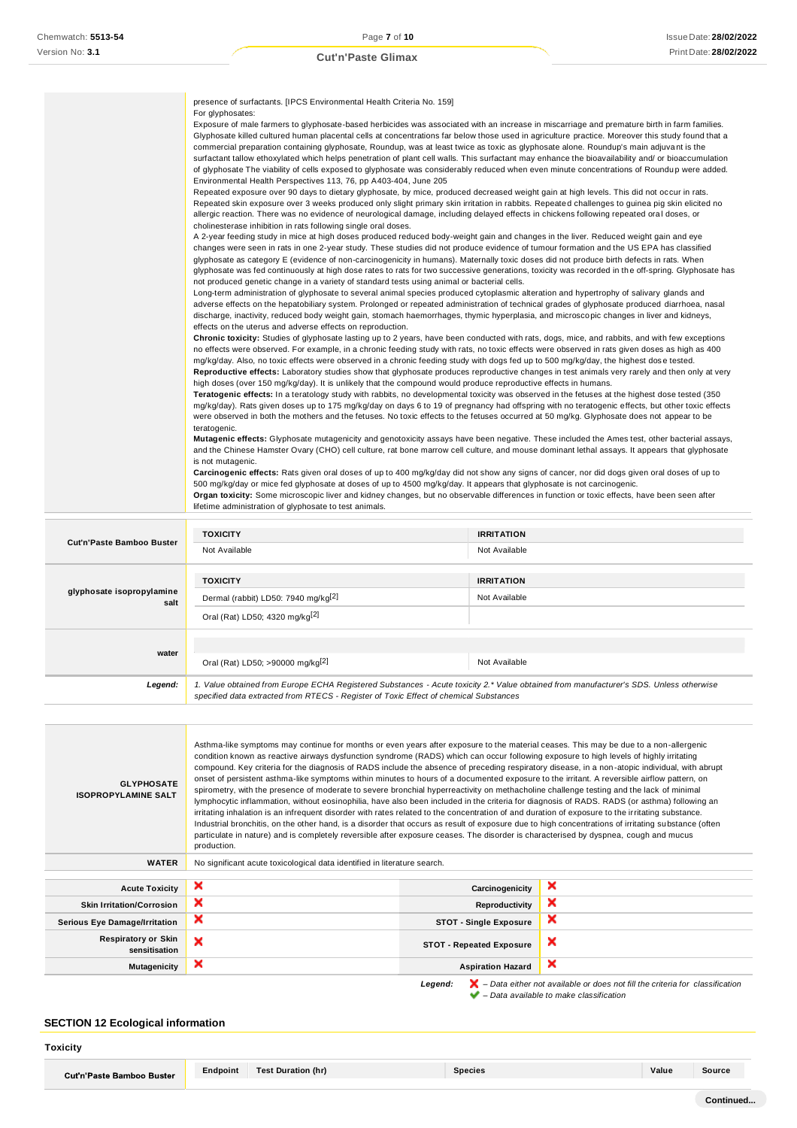|  |  | <b>Cut'n'Paste Glimax</b> |  |  |
|--|--|---------------------------|--|--|
|--|--|---------------------------|--|--|

|                                  | presence of surfactants. [IPCS Environmental Health Criteria No. 159]                                                                                                                                                                                                                                                                                                                                                                                                                                                                                                                                                                                                                                                                                                                                                                                                                                                                                                                                                                                                                                                                                                                                                                                                                                                                                                                                                                                                                                                                                                                                                                                                                                                                                                                                                                                                                                                                                                                                                                                                                                                                                                                                                                                                                                                                                                                                                                                                                                                                                                                                                                                                                                                                                                                                                                                                                                                                                                                                                                                                                                                                                                                      |                   |  |  |
|----------------------------------|--------------------------------------------------------------------------------------------------------------------------------------------------------------------------------------------------------------------------------------------------------------------------------------------------------------------------------------------------------------------------------------------------------------------------------------------------------------------------------------------------------------------------------------------------------------------------------------------------------------------------------------------------------------------------------------------------------------------------------------------------------------------------------------------------------------------------------------------------------------------------------------------------------------------------------------------------------------------------------------------------------------------------------------------------------------------------------------------------------------------------------------------------------------------------------------------------------------------------------------------------------------------------------------------------------------------------------------------------------------------------------------------------------------------------------------------------------------------------------------------------------------------------------------------------------------------------------------------------------------------------------------------------------------------------------------------------------------------------------------------------------------------------------------------------------------------------------------------------------------------------------------------------------------------------------------------------------------------------------------------------------------------------------------------------------------------------------------------------------------------------------------------------------------------------------------------------------------------------------------------------------------------------------------------------------------------------------------------------------------------------------------------------------------------------------------------------------------------------------------------------------------------------------------------------------------------------------------------------------------------------------------------------------------------------------------------------------------------------------------------------------------------------------------------------------------------------------------------------------------------------------------------------------------------------------------------------------------------------------------------------------------------------------------------------------------------------------------------------------------------------------------------------------------------------------------------|-------------------|--|--|
|                                  | For glyphosates:<br>Exposure of male farmers to glyphosate-based herbicides was associated with an increase in miscarriage and premature birth in farm families.<br>Glyphosate killed cultured human placental cells at concentrations far below those used in agriculture practice. Moreover this study found that a<br>commercial preparation containing glyphosate, Roundup, was at least twice as toxic as glyphosate alone. Roundup's main adjuvant is the<br>surfactant tallow ethoxylated which helps penetration of plant cell walls. This surfactant may enhance the bioavailability and/ or bioaccumulation<br>of glyphosate The viability of cells exposed to glyphosate was considerably reduced when even minute concentrations of Roundup were added.<br>Environmental Health Perspectives 113, 76, pp A403-404, June 205<br>Repeated exposure over 90 days to dietary glyphosate, by mice, produced decreased weight gain at high levels. This did not occur in rats.                                                                                                                                                                                                                                                                                                                                                                                                                                                                                                                                                                                                                                                                                                                                                                                                                                                                                                                                                                                                                                                                                                                                                                                                                                                                                                                                                                                                                                                                                                                                                                                                                                                                                                                                                                                                                                                                                                                                                                                                                                                                                                                                                                                                       |                   |  |  |
|                                  | Repeated skin exposure over 3 weeks produced only slight primary skin irritation in rabbits. Repeated challenges to guinea pig skin elicited no<br>allergic reaction. There was no evidence of neurological damage, including delayed effects in chickens following repeated oral doses, or                                                                                                                                                                                                                                                                                                                                                                                                                                                                                                                                                                                                                                                                                                                                                                                                                                                                                                                                                                                                                                                                                                                                                                                                                                                                                                                                                                                                                                                                                                                                                                                                                                                                                                                                                                                                                                                                                                                                                                                                                                                                                                                                                                                                                                                                                                                                                                                                                                                                                                                                                                                                                                                                                                                                                                                                                                                                                                |                   |  |  |
|                                  | cholinesterase inhibition in rats following single oral doses.<br>A 2-year feeding study in mice at high doses produced reduced body-weight gain and changes in the liver. Reduced weight gain and eye<br>changes were seen in rats in one 2-year study. These studies did not produce evidence of tumour formation and the US EPA has classified<br>glyphosate as category E (evidence of non-carcinogenicity in humans). Maternally toxic doses did not produce birth defects in rats. When<br>glyphosate was fed continuously at high dose rates to rats for two successive generations, toxicity was recorded in the off-spring. Glyphosate has<br>not produced genetic change in a variety of standard tests using animal or bacterial cells.<br>Long-term administration of glyphosate to several animal species produced cytoplasmic alteration and hypertrophy of salivary glands and<br>adverse effects on the hepatobiliary system. Prolonged or repeated administration of technical grades of glyphosate produced diarrhoea, nasal<br>discharge, inactivity, reduced body weight gain, stomach haemorrhages, thymic hyperplasia, and microscopic changes in liver and kidneys,<br>effects on the uterus and adverse effects on reproduction.<br>Chronic toxicity: Studies of glyphosate lasting up to 2 years, have been conducted with rats, dogs, mice, and rabbits, and with few exceptions<br>no effects were observed. For example, in a chronic feeding study with rats, no toxic effects were observed in rats given doses as high as 400<br>mg/kg/day. Also, no toxic effects were observed in a chronic feeding study with dogs fed up to 500 mg/kg/day, the highest dose tested.<br>Reproductive effects: Laboratory studies show that glyphosate produces reproductive changes in test animals very rarely and then only at very<br>high doses (over 150 mg/kg/day). It is unlikely that the compound would produce reproductive effects in humans.<br>Teratogenic effects: In a teratology study with rabbits, no developmental toxicity was observed in the fetuses at the highest dose tested (350<br>mg/kg/day). Rats given doses up to 175 mg/kg/day on days 6 to 19 of pregnancy had offspring with no teratogenic effects, but other toxic effects<br>were observed in both the mothers and the fetuses. No toxic effects to the fetuses occurred at 50 mg/kg. Glyphosate does not appear to be<br>teratogenic.<br>Mutagenic effects: Glyphosate mutagenicity and genotoxicity assays have been negative. These included the Ames test, other bacterial assays,<br>and the Chinese Hamster Ovary (CHO) cell culture, rat bone marrow cell culture, and mouse dominant lethal assays. It appears that glyphosate<br>is not mutagenic.<br>Carcinogenic effects: Rats given oral doses of up to 400 mg/kg/day did not show any signs of cancer, nor did dogs given oral doses of up to<br>500 mg/kg/day or mice fed glyphosate at doses of up to 4500 mg/kg/day. It appears that glyphosate is not carcinogenic.<br>Organ toxicity: Some microscopic liver and kidney changes, but no observable differences in function or toxic effects, have been seen after |                   |  |  |
|                                  |                                                                                                                                                                                                                                                                                                                                                                                                                                                                                                                                                                                                                                                                                                                                                                                                                                                                                                                                                                                                                                                                                                                                                                                                                                                                                                                                                                                                                                                                                                                                                                                                                                                                                                                                                                                                                                                                                                                                                                                                                                                                                                                                                                                                                                                                                                                                                                                                                                                                                                                                                                                                                                                                                                                                                                                                                                                                                                                                                                                                                                                                                                                                                                                            |                   |  |  |
|                                  |                                                                                                                                                                                                                                                                                                                                                                                                                                                                                                                                                                                                                                                                                                                                                                                                                                                                                                                                                                                                                                                                                                                                                                                                                                                                                                                                                                                                                                                                                                                                                                                                                                                                                                                                                                                                                                                                                                                                                                                                                                                                                                                                                                                                                                                                                                                                                                                                                                                                                                                                                                                                                                                                                                                                                                                                                                                                                                                                                                                                                                                                                                                                                                                            |                   |  |  |
|                                  |                                                                                                                                                                                                                                                                                                                                                                                                                                                                                                                                                                                                                                                                                                                                                                                                                                                                                                                                                                                                                                                                                                                                                                                                                                                                                                                                                                                                                                                                                                                                                                                                                                                                                                                                                                                                                                                                                                                                                                                                                                                                                                                                                                                                                                                                                                                                                                                                                                                                                                                                                                                                                                                                                                                                                                                                                                                                                                                                                                                                                                                                                                                                                                                            |                   |  |  |
|                                  |                                                                                                                                                                                                                                                                                                                                                                                                                                                                                                                                                                                                                                                                                                                                                                                                                                                                                                                                                                                                                                                                                                                                                                                                                                                                                                                                                                                                                                                                                                                                                                                                                                                                                                                                                                                                                                                                                                                                                                                                                                                                                                                                                                                                                                                                                                                                                                                                                                                                                                                                                                                                                                                                                                                                                                                                                                                                                                                                                                                                                                                                                                                                                                                            |                   |  |  |
|                                  |                                                                                                                                                                                                                                                                                                                                                                                                                                                                                                                                                                                                                                                                                                                                                                                                                                                                                                                                                                                                                                                                                                                                                                                                                                                                                                                                                                                                                                                                                                                                                                                                                                                                                                                                                                                                                                                                                                                                                                                                                                                                                                                                                                                                                                                                                                                                                                                                                                                                                                                                                                                                                                                                                                                                                                                                                                                                                                                                                                                                                                                                                                                                                                                            |                   |  |  |
|                                  | lifetime administration of glyphosate to test animals.                                                                                                                                                                                                                                                                                                                                                                                                                                                                                                                                                                                                                                                                                                                                                                                                                                                                                                                                                                                                                                                                                                                                                                                                                                                                                                                                                                                                                                                                                                                                                                                                                                                                                                                                                                                                                                                                                                                                                                                                                                                                                                                                                                                                                                                                                                                                                                                                                                                                                                                                                                                                                                                                                                                                                                                                                                                                                                                                                                                                                                                                                                                                     |                   |  |  |
|                                  | <b>TOXICITY</b>                                                                                                                                                                                                                                                                                                                                                                                                                                                                                                                                                                                                                                                                                                                                                                                                                                                                                                                                                                                                                                                                                                                                                                                                                                                                                                                                                                                                                                                                                                                                                                                                                                                                                                                                                                                                                                                                                                                                                                                                                                                                                                                                                                                                                                                                                                                                                                                                                                                                                                                                                                                                                                                                                                                                                                                                                                                                                                                                                                                                                                                                                                                                                                            | <b>IRRITATION</b> |  |  |
| <b>Cut'n'Paste Bamboo Buster</b> | Not Available                                                                                                                                                                                                                                                                                                                                                                                                                                                                                                                                                                                                                                                                                                                                                                                                                                                                                                                                                                                                                                                                                                                                                                                                                                                                                                                                                                                                                                                                                                                                                                                                                                                                                                                                                                                                                                                                                                                                                                                                                                                                                                                                                                                                                                                                                                                                                                                                                                                                                                                                                                                                                                                                                                                                                                                                                                                                                                                                                                                                                                                                                                                                                                              | Not Available     |  |  |
|                                  |                                                                                                                                                                                                                                                                                                                                                                                                                                                                                                                                                                                                                                                                                                                                                                                                                                                                                                                                                                                                                                                                                                                                                                                                                                                                                                                                                                                                                                                                                                                                                                                                                                                                                                                                                                                                                                                                                                                                                                                                                                                                                                                                                                                                                                                                                                                                                                                                                                                                                                                                                                                                                                                                                                                                                                                                                                                                                                                                                                                                                                                                                                                                                                                            |                   |  |  |

| <b>TOXICITY</b><br>Dermal (rabbit) LD50: 7940 mg/kg <sup>[2]</sup>                                                                     | <b>IRRITATION</b><br>Not Available                                                                                                                                                  |  |
|----------------------------------------------------------------------------------------------------------------------------------------|-------------------------------------------------------------------------------------------------------------------------------------------------------------------------------------|--|
|                                                                                                                                        | Not Available                                                                                                                                                                       |  |
| 1. Value obtained from Europe ECHA Registered Substances - Acute toxicity 2.* Value obtained from manufacturer's SDS. Unless otherwise |                                                                                                                                                                                     |  |
|                                                                                                                                        | Oral (Rat) LD50; 4320 mg/kg <sup>[2]</sup><br>Oral (Rat) LD50; >90000 mg/kg <sup>[2]</sup><br>specified data extracted from RTECS - Register of Toxic Effect of chemical Substances |  |

| <b>GLYPHOSATE</b><br><b>ISOPROPYLAMINE SALT</b> | Asthma-like symptoms may continue for months or even years after exposure to the material ceases. This may be due to a non-allergenic<br>condition known as reactive airways dysfunction syndrome (RADS) which can occur following exposure to high levels of highly irritating<br>compound. Key criteria for the diagnosis of RADS include the absence of preceding respiratory disease, in a non-atopic individual, with abrupt<br>onset of persistent asthma-like symptoms within minutes to hours of a documented exposure to the irritant. A reversible airflow pattern, on<br>spirometry, with the presence of moderate to severe bronchial hyperreactivity on methacholine challenge testing and the lack of minimal<br>lymphocytic inflammation, without eosinophilia, have also been included in the criteria for diagnosis of RADS. RADS (or asthma) following an<br>irritating inhalation is an infrequent disorder with rates related to the concentration of and duration of exposure to the irritating substance.<br>Industrial bronchitis, on the other hand, is a disorder that occurs as result of exposure due to high concentrations of irritating substance (often<br>particulate in nature) and is completely reversible after exposure ceases. The disorder is characterised by dyspnea, cough and mucus<br>production. |                                 |   |  |  |  |
|-------------------------------------------------|-----------------------------------------------------------------------------------------------------------------------------------------------------------------------------------------------------------------------------------------------------------------------------------------------------------------------------------------------------------------------------------------------------------------------------------------------------------------------------------------------------------------------------------------------------------------------------------------------------------------------------------------------------------------------------------------------------------------------------------------------------------------------------------------------------------------------------------------------------------------------------------------------------------------------------------------------------------------------------------------------------------------------------------------------------------------------------------------------------------------------------------------------------------------------------------------------------------------------------------------------------------------------------------------------------------------------------------------------|---------------------------------|---|--|--|--|
| <b>WATER</b>                                    | No significant acute toxicological data identified in literature search.                                                                                                                                                                                                                                                                                                                                                                                                                                                                                                                                                                                                                                                                                                                                                                                                                                                                                                                                                                                                                                                                                                                                                                                                                                                                      |                                 |   |  |  |  |
| <b>Acute Toxicity</b>                           | ×                                                                                                                                                                                                                                                                                                                                                                                                                                                                                                                                                                                                                                                                                                                                                                                                                                                                                                                                                                                                                                                                                                                                                                                                                                                                                                                                             | Carcinogenicity                 | × |  |  |  |
| <b>Skin Irritation/Corrosion</b>                | ×                                                                                                                                                                                                                                                                                                                                                                                                                                                                                                                                                                                                                                                                                                                                                                                                                                                                                                                                                                                                                                                                                                                                                                                                                                                                                                                                             | Reproductivity                  | × |  |  |  |
| <b>Serious Eye Damage/Irritation</b>            | ×                                                                                                                                                                                                                                                                                                                                                                                                                                                                                                                                                                                                                                                                                                                                                                                                                                                                                                                                                                                                                                                                                                                                                                                                                                                                                                                                             | <b>STOT - Single Exposure</b>   | × |  |  |  |
| <b>Respiratory or Skin</b><br>sensitisation     | ×                                                                                                                                                                                                                                                                                                                                                                                                                                                                                                                                                                                                                                                                                                                                                                                                                                                                                                                                                                                                                                                                                                                                                                                                                                                                                                                                             | <b>STOT - Repeated Exposure</b> | × |  |  |  |
| Mutagenicity                                    | ×<br>×<br><b>Aspiration Hazard</b>                                                                                                                                                                                                                                                                                                                                                                                                                                                                                                                                                                                                                                                                                                                                                                                                                                                                                                                                                                                                                                                                                                                                                                                                                                                                                                            |                                 |   |  |  |  |
|                                                 | $\blacktriangleright$ – Data either not available or does not fill the criteria for classification<br>Legend:                                                                                                                                                                                                                                                                                                                                                                                                                                                                                                                                                                                                                                                                                                                                                                                                                                                                                                                                                                                                                                                                                                                                                                                                                                 |                                 |   |  |  |  |

*– Data available to make classification*

# **SECTION 12 Ecological information**

**Toxicity**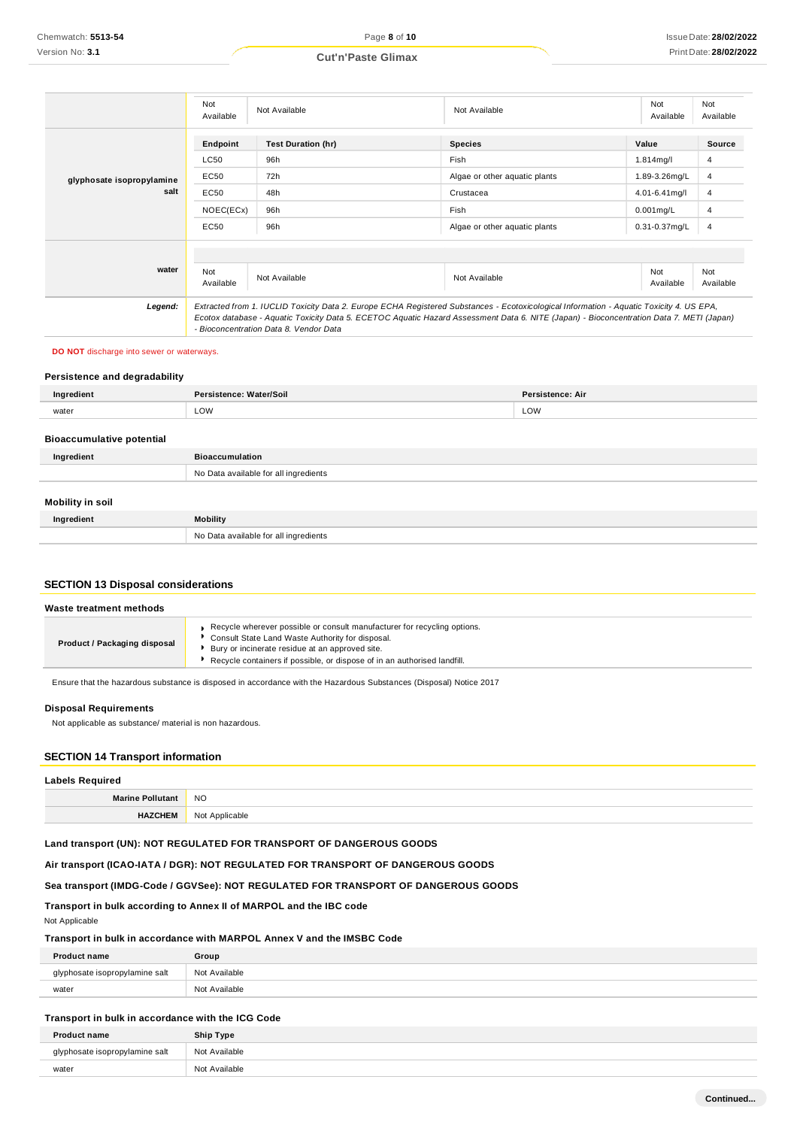#### Not<br>Available Available Not Available Not Available Not Available Not Available **Endpoint Test Duration (hr) Species Value Source** LC50 96h Fish 1.814mg/l 4 **glyphosate isopropylamine salt** EC50 EC50 72h 48h Algae or other aquatic plants Crustacea 1.89-3.26mg/L 4.01-6.41mg/l 4 4 NOEC(ECx) 96h Fish 0.001mg/L 4 EC50 96h Algae or other aquatic plants 0.31-0.37mg/L 4 **water** Not Available Not Available Not Available Not Available Not Available *Legend: Extracted from 1. IUCLID Toxicity Data 2. Europe ECHA Registered Substances - Ecotoxicological Information - Aquatic Toxicity 4. US EPA, Ecotox database - Aquatic Toxicity Data 5. ECETOC Aquatic Hazard Assessment Data 6. NITE (Japan) - Bioconcentration Data 7. METI (Japan) - Bioconcentration Data 8. Vendor Data*

#### **DO NOT** discharge into sewer or waterways.

### **Persistence and degradability**

| Ingredient                       | Persistence: Water/Soil               | Persistence: Air |
|----------------------------------|---------------------------------------|------------------|
| water                            | LOW                                   | LOW              |
| <b>Bioaccumulative potential</b> |                                       |                  |
| Ingredient                       | <b>Bioaccumulation</b>                |                  |
|                                  | No Data available for all ingredients |                  |
|                                  |                                       |                  |

# **Mobility in soil**

| ___<br>Ingredient | <b>Mobility</b>                       |
|-------------------|---------------------------------------|
|                   | No Data available for all ingredients |

### **SECTION 13 Disposal considerations**

| Waste treatment methods      |                                                                                                                                                                                                                                                             |  |
|------------------------------|-------------------------------------------------------------------------------------------------------------------------------------------------------------------------------------------------------------------------------------------------------------|--|
| Product / Packaging disposal | Recycle wherever possible or consult manufacturer for recycling options.<br>Consult State Land Waste Authority for disposal.<br>Bury or incinerate residue at an approved site.<br>Recycle containers if possible, or dispose of in an authorised landfill. |  |

Ensure that the hazardous substance is disposed in accordance with the Hazardous Substances (Disposal) Notice 2017

### **Disposal Requirements**

Not applicable as substance/ material is non hazardous.

### **SECTION 14 Transport information**

| <b>Labels Required</b>  |                |
|-------------------------|----------------|
| <b>Marine Pollutant</b> | <b>NO</b>      |
| <b>HAZCHEM</b>          | Not Applicable |

# **Land transport (UN): NOT REGULATED FOR TRANSPORT OF DANGEROUS GOODS**

### **Air transport (ICAO-IATA / DGR): NOT REGULATED FOR TRANSPORT OF DANGEROUS GOODS**

**Sea transport (IMDG-Code / GGVSee): NOT REGULATED FOR TRANSPORT OF DANGEROUS GOODS**

### **Transport in bulk according to Annex II of MARPOL and the IBC code**

### Not Applicable

### **Transport in bulk in accordance with MARPOL Annex V and the IMSBC Code**

| <b>Product name</b>   | Group                       |
|-----------------------|-----------------------------|
| e isopropylamine salt | Not Available               |
| water                 | N <sub>0</sub><br>Available |

### **Transport in bulk in accordance with the ICG Code**

| <b>Product name</b>            | Ship Type     |
|--------------------------------|---------------|
| glyphosate isopropylamine salt | Not Available |
| water                          | Not Available |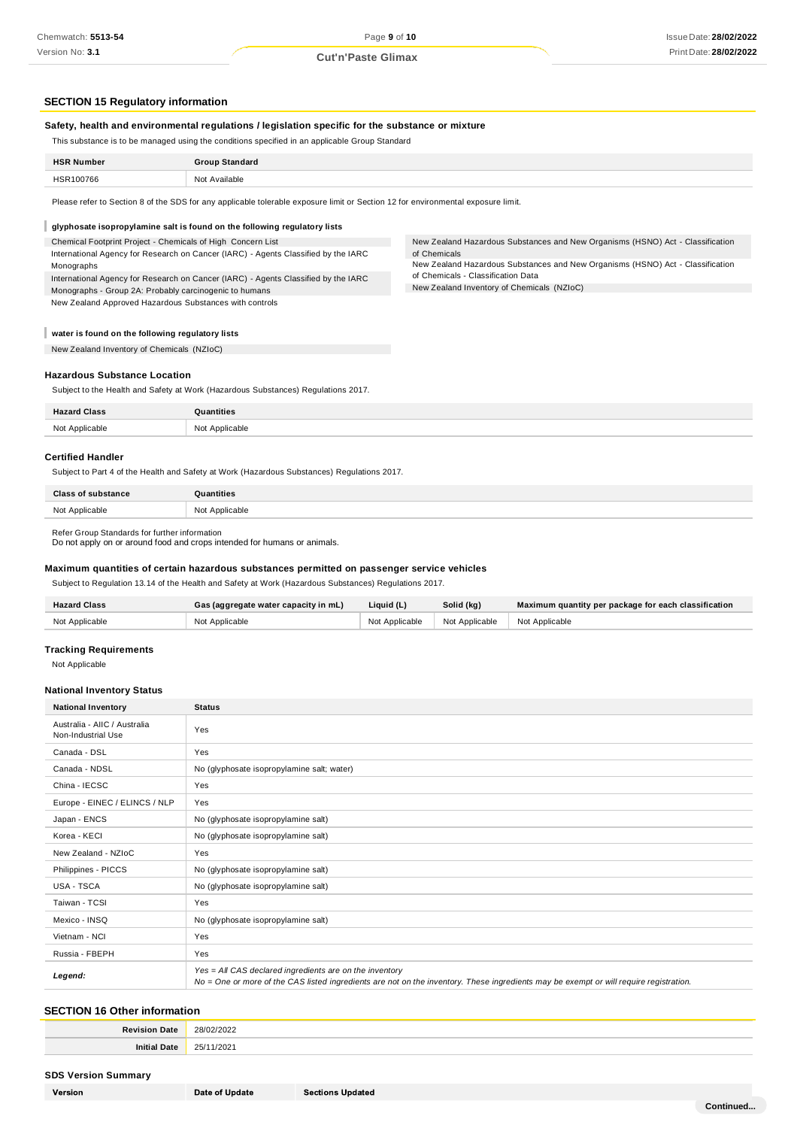## **SECTION 15 Regulatory information**

### **Safety, health and environmental regulations / legislation specific for the substance or mixture**

This substance is to be managed using the conditions specified in an applicable Group Standard

| <b>HSR Number</b> | <b>Group Standard</b> |
|-------------------|-----------------------|
| HSR100766         | Not Available         |
|                   |                       |

Please refer to Section 8 of the SDS for any applicable tolerable exposure limit or Section 12 for environmental exposure limit.

#### I **glyphosate isopropylamine salt is found on the following regulatory lists**

Chemical Footprint Project - Chemicals of High Concern List International Agency for Research on Cancer (IARC) - Agents Classified by the IARC Monographs

International Agency for Research on Cancer (IARC) - Agents Classified by the IARC Monographs - Group 2A: Probably carcinogenic to humans New Zealand Approved Hazardous Substances with controls

New Zealand Hazardous Substances and New Organisms (HSNO) Act - Classification of Chemicals

New Zealand Hazardous Substances and New Organisms (HSNO) Act - Classification of Chemicals - Classification Data

New Zealand Inventory of Chemicals (NZIoC)

### **water is found on the following regulatory lists**

New Zealand Inventory of Chemicals (NZIoC)

### **Hazardous Substance Location**

Subject to the Health and Safety at Work (Hazardous Substances) Regulations 2017.

| <b>Hazard Class</b> | $\rightarrow$ +i+ine |
|---------------------|----------------------|
| Not Applicable      | Not Applicable       |

### **Certified Handler**

Subject to Part 4 of the Health and Safety at Work (Hazardous Substances) Regulations 2017.

| <b>Class of substance</b> | Quantities     |
|---------------------------|----------------|
| Not Applicable            | Not Applicable |

Refer Group Standards for further information

Do not apply on or around food and crops intended for humans or animals.

### **Maximum quantities of certain hazardous substances permitted on passenger service vehicles**

Subject to Regulation 13.14 of the Health and Safety at Work (Hazardous Substances) Regulations 2017.

| <b>Hazard Class</b> | Gas (aggregate water capacity in mL) | Liquid (L)     | Solid (kg)     | Maximum quantity per package for each classification |
|---------------------|--------------------------------------|----------------|----------------|------------------------------------------------------|
| Not Applicable      | Not Applicable                       | Not Applicable | Not Applicable | I Not Applicable                                     |

### **Tracking Requirements**

Not Applicable

### **National Inventory Status**

| <b>National Inventory</b>                          | <b>Status</b>                                                                                                                                                                                     |
|----------------------------------------------------|---------------------------------------------------------------------------------------------------------------------------------------------------------------------------------------------------|
| Australia - AIIC / Australia<br>Non-Industrial Use | Yes                                                                                                                                                                                               |
| Canada - DSL                                       | Yes                                                                                                                                                                                               |
| Canada - NDSL                                      | No (glyphosate isopropylamine salt; water)                                                                                                                                                        |
| China - IECSC                                      | Yes                                                                                                                                                                                               |
| Europe - EINEC / ELINCS / NLP                      | Yes                                                                                                                                                                                               |
| Japan - ENCS                                       | No (glyphosate isopropylamine salt)                                                                                                                                                               |
| Korea - KECI                                       | No (glyphosate isopropylamine salt)                                                                                                                                                               |
| New Zealand - NZIoC                                | Yes                                                                                                                                                                                               |
| Philippines - PICCS                                | No (glyphosate isopropylamine salt)                                                                                                                                                               |
| USA - TSCA                                         | No (glyphosate isopropylamine salt)                                                                                                                                                               |
| Taiwan - TCSI                                      | Yes                                                                                                                                                                                               |
| Mexico - INSQ                                      | No (glyphosate isopropylamine salt)                                                                                                                                                               |
| Vietnam - NCI                                      | Yes                                                                                                                                                                                               |
| Russia - FBEPH                                     | Yes                                                                                                                                                                                               |
| Legend:                                            | Yes = All CAS declared ingredients are on the inventory<br>No = One or more of the CAS listed ingredients are not on the inventory. These ingredients may be exempt or will require registration. |

### **SECTION 16 Other information**

| <b>Revision Date</b> | 28/02/2022     |
|----------------------|----------------|
| Initi<br>Date        | 1/2021<br>25/1 |

### **SDS Version Summary**

| Version |
|---------|
|         |